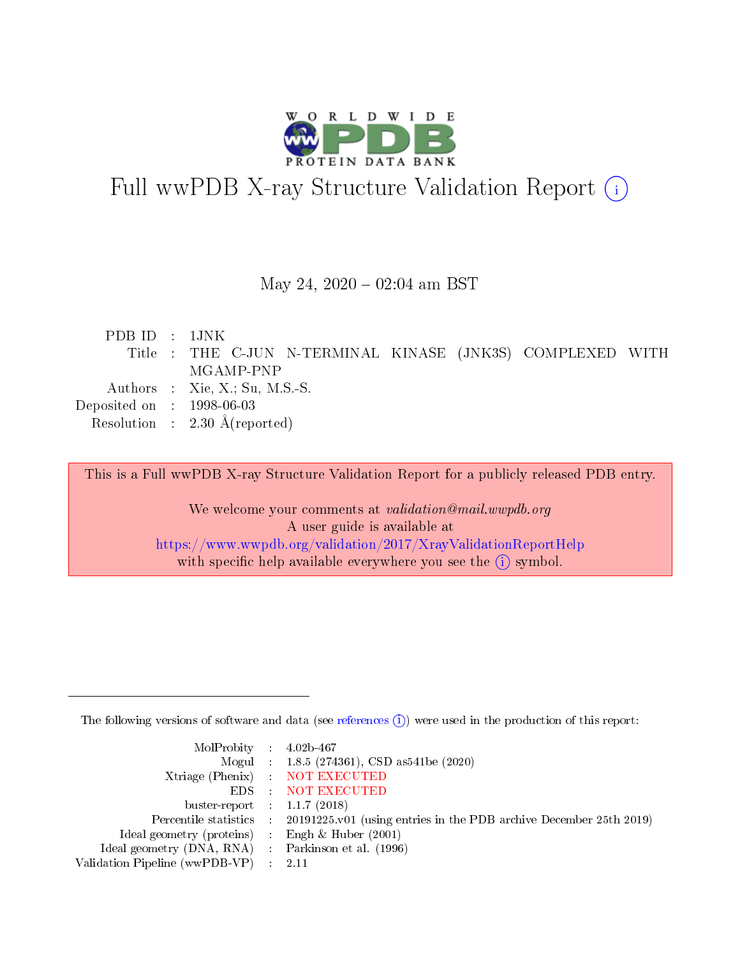

# Full wwPDB X-ray Structure Validation Report (i)

#### May 24,  $2020 - 02:04$  am BST

| PDBID : 1JNK                         |                                                            |
|--------------------------------------|------------------------------------------------------------|
|                                      | Title : THE C-JUN N-TERMINAL KINASE (JNK3S) COMPLEXED WITH |
|                                      | MGAMP-PNP                                                  |
|                                      | Authors : Xie, X.; Su, M.S.-S.                             |
| Deposited on $\therefore$ 1998-06-03 |                                                            |
|                                      | Resolution : $2.30 \text{ Å}$ (reported)                   |
|                                      |                                                            |

This is a Full wwPDB X-ray Structure Validation Report for a publicly released PDB entry.

We welcome your comments at validation@mail.wwpdb.org A user guide is available at <https://www.wwpdb.org/validation/2017/XrayValidationReportHelp> with specific help available everywhere you see the  $(i)$  symbol.

The following versions of software and data (see [references](https://www.wwpdb.org/validation/2017/XrayValidationReportHelp#references)  $(i)$ ) were used in the production of this report:

| MolProbity : $4.02b-467$                            |                                                                                            |
|-----------------------------------------------------|--------------------------------------------------------------------------------------------|
|                                                     | Mogul : $1.8.5$ (274361), CSD as 541be (2020)                                              |
|                                                     | Xtriage (Phenix) NOT EXECUTED                                                              |
|                                                     | EDS : NOT EXECUTED                                                                         |
| buster-report : $1.1.7(2018)$                       |                                                                                            |
|                                                     | Percentile statistics : 20191225.v01 (using entries in the PDB archive December 25th 2019) |
| Ideal geometry (proteins) : Engh $\&$ Huber (2001)  |                                                                                            |
| Ideal geometry (DNA, RNA) : Parkinson et al. (1996) |                                                                                            |
| Validation Pipeline (wwPDB-VP) : 2.11               |                                                                                            |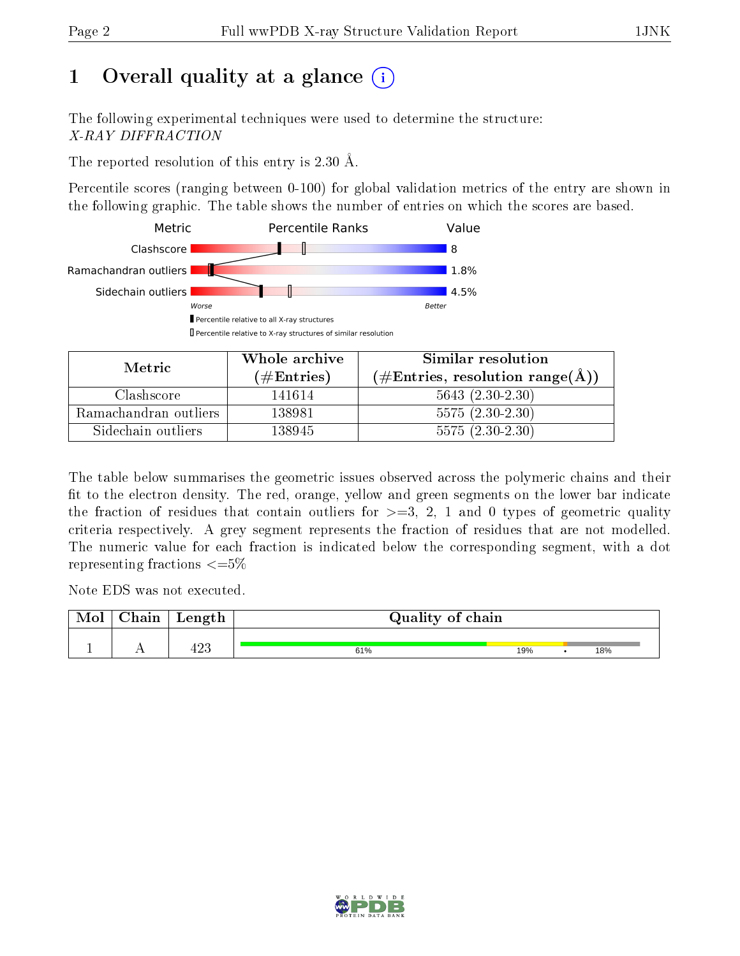# 1 [O](https://www.wwpdb.org/validation/2017/XrayValidationReportHelp#overall_quality)verall quality at a glance  $(i)$

The following experimental techniques were used to determine the structure: X-RAY DIFFRACTION

The reported resolution of this entry is 2.30 Å.

Percentile scores (ranging between 0-100) for global validation metrics of the entry are shown in the following graphic. The table shows the number of entries on which the scores are based.



| Metric.               | Whole archive       | Similar resolution                                       |  |  |
|-----------------------|---------------------|----------------------------------------------------------|--|--|
|                       | (# $\rm{Entries}$ ) | $(\#\text{Entries}, \text{resolution range}(\text{\AA})$ |  |  |
| Clashscore            | 141614              | $5643(2.30-2.30)$                                        |  |  |
| Ramachandran outliers | 138981              | $5575(2.30-2.30)$                                        |  |  |
| Sidechain outliers    | 138945              | $5575(2.30-2.30)$                                        |  |  |

The table below summarises the geometric issues observed across the polymeric chains and their fit to the electron density. The red, orange, yellow and green segments on the lower bar indicate the fraction of residues that contain outliers for  $\geq=3$ , 2, 1 and 0 types of geometric quality criteria respectively. A grey segment represents the fraction of residues that are not modelled. The numeric value for each fraction is indicated below the corresponding segment, with a dot representing fractions  $\leq=5\%$ 

Note EDS was not executed.

| Mol | Chain | Length | Quality of chain |     |     |
|-----|-------|--------|------------------|-----|-----|
|     |       | 423    | 61%              | 19% | 18% |

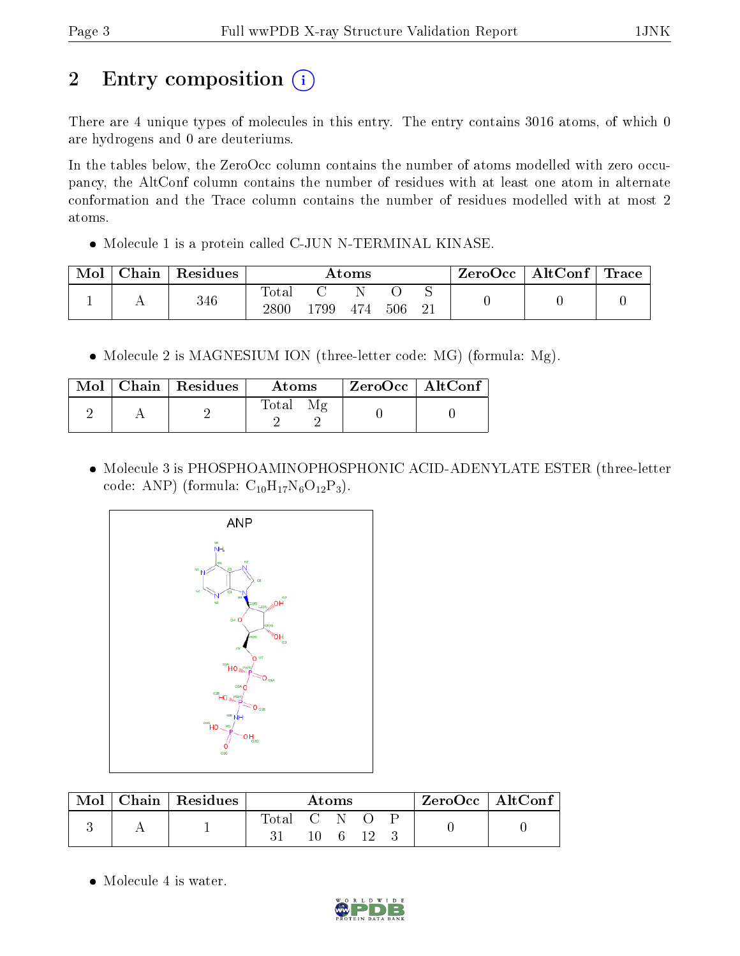# 2 Entry composition (i)

There are 4 unique types of molecules in this entry. The entry contains 3016 atoms, of which 0 are hydrogens and 0 are deuteriums.

In the tables below, the ZeroOcc column contains the number of atoms modelled with zero occupancy, the AltConf column contains the number of residues with at least one atom in alternate conformation and the Trace column contains the number of residues modelled with at most 2 atoms.

• Molecule 1 is a protein called C-JUN N-TERMINAL KINASE.

| Mol | Chain | Residues | Atoms                    |     |     |     | ZeroOcc  | $\mid$ AltConf $\mid$ Trace $\mid$ |  |  |
|-----|-------|----------|--------------------------|-----|-----|-----|----------|------------------------------------|--|--|
|     |       | 346      | $\mathrm{Total}$<br>2800 | 799 | 474 | 506 | ∼<br>ി 1 |                                    |  |  |

• Molecule 2 is MAGNESIUM ION (three-letter code: MG) (formula: Mg).

|  | Mol $\vert$ Chain $\vert$ Residues $\vert$ | <b>Atoms</b> | $ZeroOcc \   \ AltConf$ |
|--|--------------------------------------------|--------------|-------------------------|
|  |                                            | Total        |                         |

 Molecule 3 is PHOSPHOAMINOPHOSPHONIC ACID-ADENYLATE ESTER (three-letter code: ANP) (formula:  $C_{10}H_{17}N_6O_{12}P_3$ ).



|  | Chain   Residues | Atoms     |  |  |  | $ZeroOcc$   AltConf |  |
|--|------------------|-----------|--|--|--|---------------------|--|
|  |                  | fotal C N |  |  |  |                     |  |

• Molecule 4 is water.

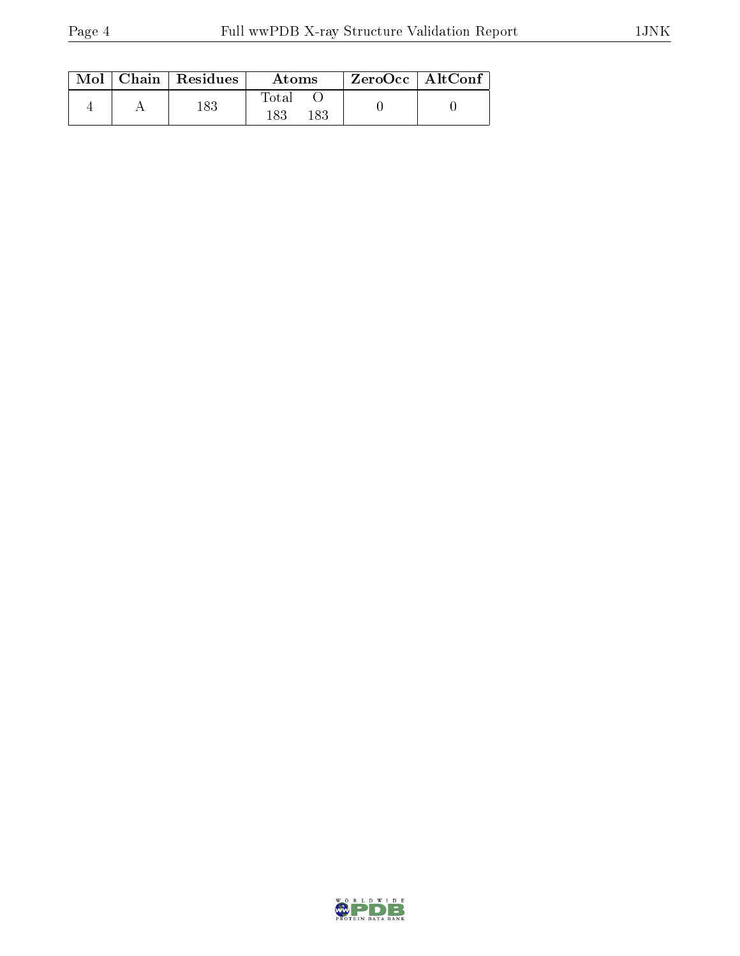|  | $Mol$   Chain   Residues | Atoms               | $ZeroOcc \mid AltConf$ |  |
|--|--------------------------|---------------------|------------------------|--|
|  | 183                      | Total<br>183<br>183 |                        |  |

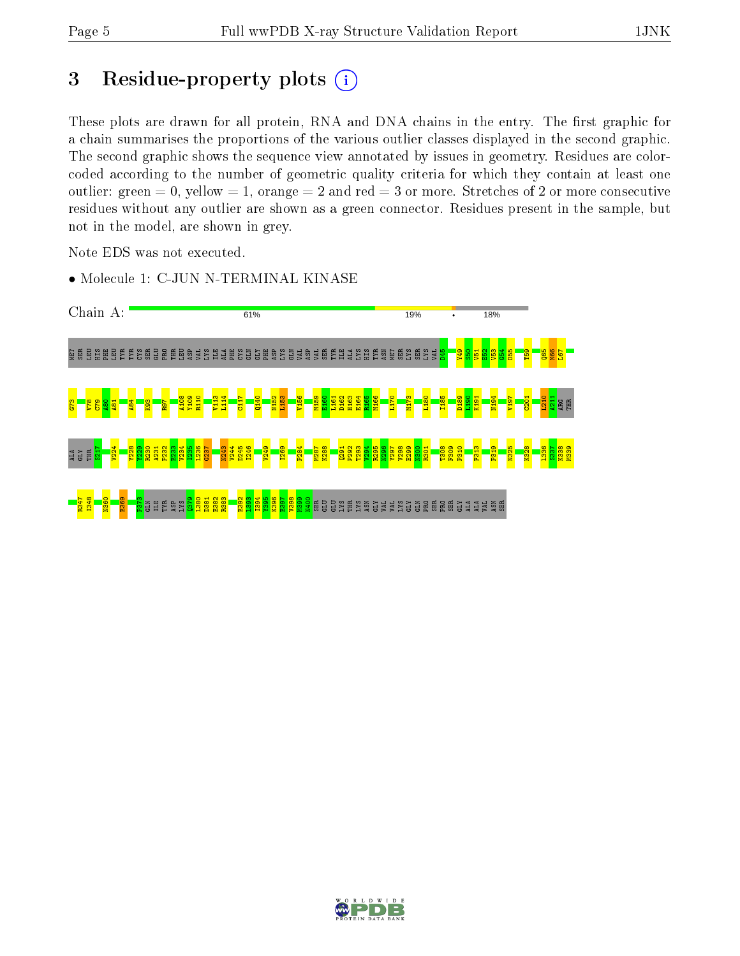# 3 Residue-property plots  $(i)$

These plots are drawn for all protein, RNA and DNA chains in the entry. The first graphic for a chain summarises the proportions of the various outlier classes displayed in the second graphic. The second graphic shows the sequence view annotated by issues in geometry. Residues are colorcoded according to the number of geometric quality criteria for which they contain at least one outlier: green  $= 0$ , yellow  $= 1$ , orange  $= 2$  and red  $= 3$  or more. Stretches of 2 or more consecutive residues without any outlier are shown as a green connector. Residues present in the sample, but not in the model, are shown in grey.

Note EDS was not executed.

• Molecule 1: C-JUN N-TERMINAL KINASE



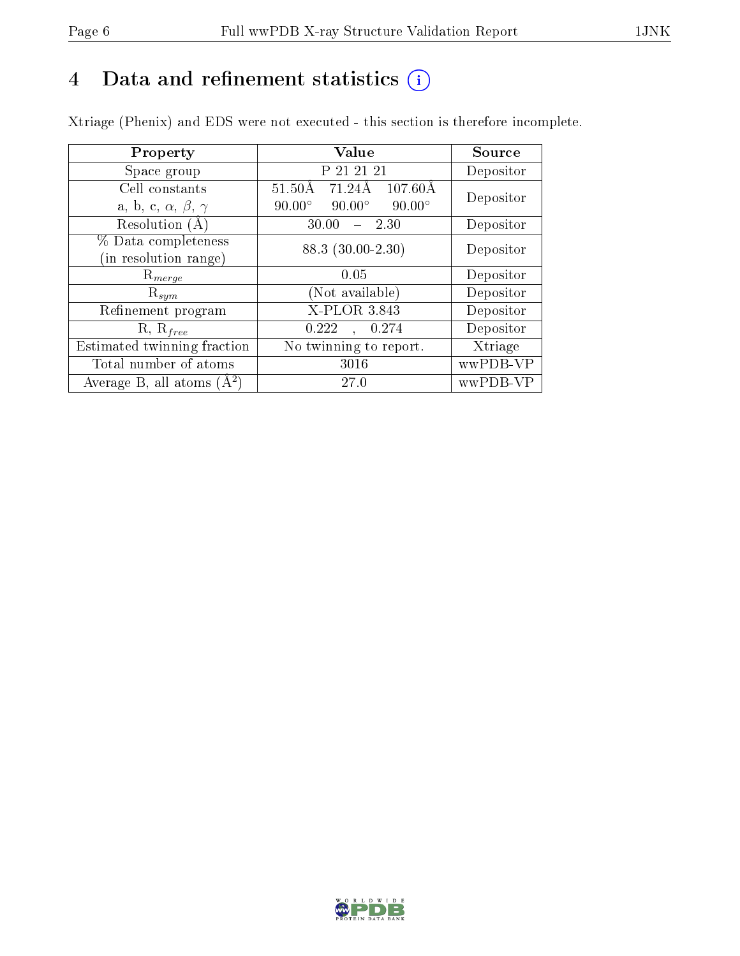# 4 Data and refinement statistics  $(i)$

Xtriage (Phenix) and EDS were not executed - this section is therefore incomplete.

| Property                               | Value                                             | Source    |  |
|----------------------------------------|---------------------------------------------------|-----------|--|
| Space group                            | P 21 21 21                                        | Depositor |  |
| Cell constants                         | $51.50\text{\AA}$<br>71.24Å<br>$107.60\text{\AA}$ | Depositor |  |
| a, b, c, $\alpha$ , $\beta$ , $\gamma$ | $90.00^\circ$<br>$90.00^\circ$<br>$90.00^\circ$   |           |  |
| Resolution (A)                         | 30.00<br>$-2.30$                                  | Depositor |  |
| % Data completeness                    | 88.3 (30.00-2.30)                                 | Depositor |  |
| (in resolution range)                  |                                                   |           |  |
| $R_{merge}$                            | 0.05                                              | Depositor |  |
| $\mathrm{R}_{sym}$                     | Not available)                                    | Depositor |  |
| Refinement program                     | X-PLOR 3.843                                      | Depositor |  |
| $R, R_{free}$                          | 0.222<br>, 0.274                                  | Depositor |  |
| Estimated twinning fraction            | No twinning to report.                            | Xtriage   |  |
| Total number of atoms                  | 3016                                              | wwPDB-VP  |  |
| Average B, all atoms $(A^2)$           | 27.0                                              | wwPDB-VP  |  |

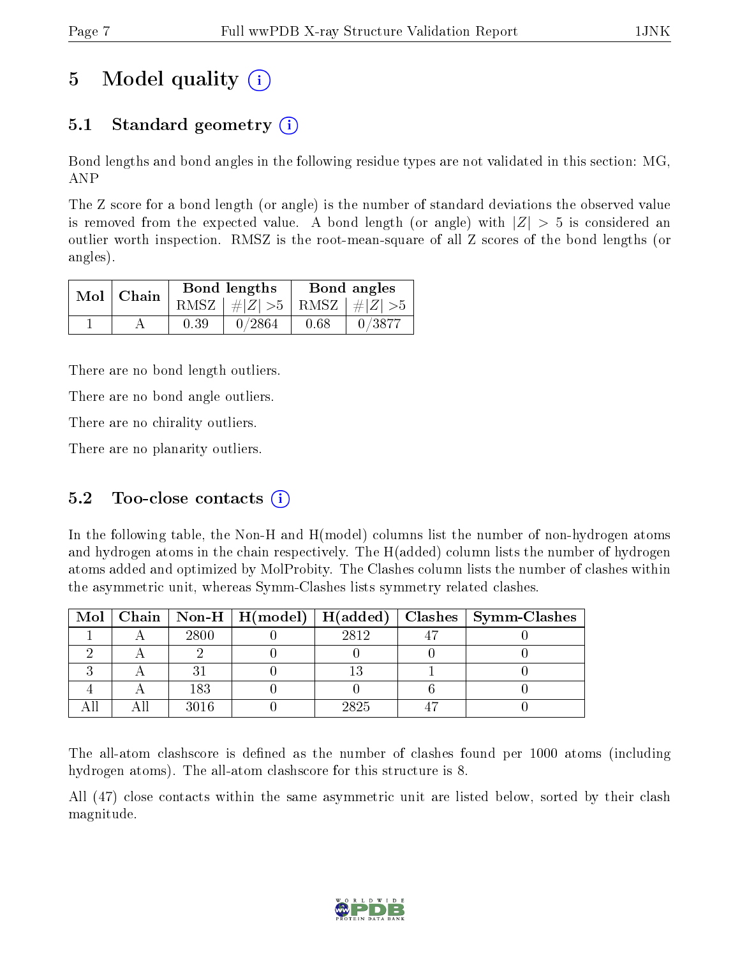# 5 Model quality  $(i)$

# 5.1 Standard geometry  $(i)$

Bond lengths and bond angles in the following residue types are not validated in this section: MG, ANP

The Z score for a bond length (or angle) is the number of standard deviations the observed value is removed from the expected value. A bond length (or angle) with  $|Z| > 5$  is considered an outlier worth inspection. RMSZ is the root-mean-square of all Z scores of the bond lengths (or angles).

| $Mol$   Chain |      | Bond lengths                    | Bond angles |        |  |
|---------------|------|---------------------------------|-------------|--------|--|
|               |      | RMSZ $ #Z  > 5$ RMSZ $ #Z  > 5$ |             |        |  |
|               | 0.39 | 0/2864                          | 0.68        | 0/3877 |  |

There are no bond length outliers.

There are no bond angle outliers.

There are no chirality outliers.

There are no planarity outliers.

## 5.2 Too-close contacts  $(i)$

In the following table, the Non-H and H(model) columns list the number of non-hydrogen atoms and hydrogen atoms in the chain respectively. The H(added) column lists the number of hydrogen atoms added and optimized by MolProbity. The Clashes column lists the number of clashes within the asymmetric unit, whereas Symm-Clashes lists symmetry related clashes.

|  |      |      | Mol   Chain   Non-H   H(model)   H(added)   Clashes   Symm-Clashes |
|--|------|------|--------------------------------------------------------------------|
|  | 2800 | 2812 |                                                                    |
|  |      |      |                                                                    |
|  |      |      |                                                                    |
|  | 183  |      |                                                                    |
|  | 3016 | 2825 |                                                                    |

The all-atom clashscore is defined as the number of clashes found per 1000 atoms (including hydrogen atoms). The all-atom clashscore for this structure is 8.

All (47) close contacts within the same asymmetric unit are listed below, sorted by their clash magnitude.

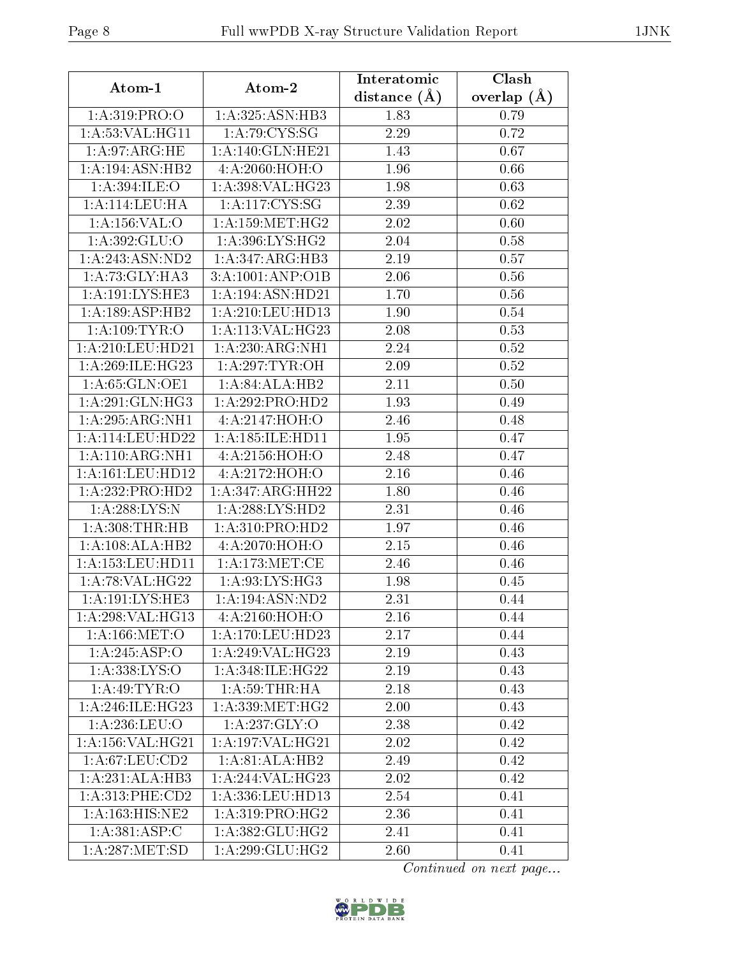| Atom-1                     | Atom-2                                  | Interatomic      | Clash           |  |
|----------------------------|-----------------------------------------|------------------|-----------------|--|
|                            |                                         | distance $(\AA)$ | overlap $(\AA)$ |  |
| 1: A:319: PRO:O            | 1:A:325:ASN:HB3                         | 1.83             | 0.79            |  |
| 1: A:53:VAL:HG11           | 1: A:79: CYS:SG                         | 2.29             | 0.72            |  |
| $1:A:\overline{97:ARG:HE}$ | 1:A:140:GLN:HE21                        | 1.43             | 0.67            |  |
| 1:A:194:ASN:HB2            | 4:A:2060:HOH:O                          | 1.96             | 0.66            |  |
| 1:A:394:ILE:O              | 1:A:398:VAL:H G23                       | 1.98             | 0.63            |  |
| 1:A:114:LEU:HA             | 1: A: 117: CYS: SG                      | 2.39             | 0.62            |  |
| 1: A:156: VAL:O            | $1:\overline{A}:159:\overline{MET:HG2}$ | 2.02             | 0.60            |  |
| 1: A: 392: GLU:O           | 1:A:396:LYS:HG2                         | 2.04             | 0.58            |  |
| 1:A:243:ASN:ND2            | 1:A:347:ARG:HB3                         | 2.19             | 0.57            |  |
| 1: A:73: GLY:HA3           | 3:A:1001:AND:O1B                        | 2.06             | 0.56            |  |
| 1: A:191:LYS:HE3           | 1:A:194:ASN:HD21                        | 1.70             | 0.56            |  |
| 1:A:189:ASP:HB2            | 1: A:210:LEU:HD13                       | 1.90             | 0.54            |  |
| 1: A:109:TYR:O             | 1:A:113:VAL:HG23                        | 2.08             | 0.53            |  |
| 1:A:210:LEU:HD21           | 1:A:230:ARG:NH1                         | 2.24             | 0.52            |  |
| 1:A:269:ILE:HG23           | 1: A:297:TYR:OH                         | 2.09             | 0.52            |  |
| 1:A:65:GLN:OE1             | 1:A:84:ALA:HB2                          | 2.11             | 0.50            |  |
| 1:A:291:GLN:HG3            | 1:A:292:PRO:HD2                         | 1.93             | 0.49            |  |
| 1:A:295:ARG:NH1            | 4:A:2147:HOH:O                          | 2.46             | 0.48            |  |
| 1: A:114: LEU: HD22        | 1: A:185: ILE: HD11                     | 1.95             | 0.47            |  |
| 1: A:110:ARG:NH1           | 4: A: 2156: HOH:O                       | 2.48             | 0.47            |  |
| 1:A:161:LEU:HD12           | 4:A:2172:HOH:O                          | 2.16             | 0.46            |  |
| 1:A:232:PRO:HD2            | 1:A:347:ARG:HH22                        | 1.80             | 0.46            |  |
| 1:A:288:LYS:N              | 1: A:288:LYS:HD2                        | 2.31             | 0.46            |  |
| 1: A:308:THR:HB            | 1: A:310: PRO:HD2                       | 1.97             | 0.46            |  |
| 1:A:108:ALA:HB2            | 4:A:2070:HOH:O                          | 2.15             | 0.46            |  |
| 1: A: 153: LEU: HD11       | 1: A:173:MET:CE                         | 2.46             | 0.46            |  |
| 1: A:78: VAL:HG22          | 1:A:93:LYS:HG3                          | 1.98             | 0.45            |  |
| 1:A:191:LYS:HE3            | 1: A: 194: ASN: ND2                     | 2.31             | 0.44            |  |
| 1:A:298:VAL:HG13           | 4:A:2160:HOH:O                          | 2.16             | 0.44            |  |
| 1: A: 166: MET:O           | 1:A:170:LEU:HD23                        | 2.17             | 0.44            |  |
| 1:A:245:ASP:O              | 1:A:249:VAL:HG23                        | 2.19             | 0.43            |  |
| 1: A: 338: LYS: O          | $1: A:348: ILE: \overline{HG22}$        | 2.19             | 0.43            |  |
| 1: A:49: TYR:O             | 1: A:59:THR:HA                          | 2.18             | 0.43            |  |
| 1: A:246: ILE:H G23        | 1: A: 339: MET: HG2                     | 2.00             | 0.43            |  |
| 1: A:236:LEU:O             | 1:A:237:GLY:O                           | 2.38             | 0.42            |  |
| 1: A: 156: VAL: HG21       | 1:A:197:VAL:HG21                        | 2.02             | 0.42            |  |
| 1:A:67:LEU:CD2             | 1:A:81:ALA:HB2                          | 2.49             | 0.42            |  |
| 1:A:231:ALA:HB3            | 1:A:244:VAL:HG23                        | 2.02             | 0.42            |  |
| 1: A:313: PHE:CD2          | 1:A:336:LEU:HD13                        | 2.54             | 0.41            |  |
| 1:A:163:HIS:NE2            | 1: A:319: PRO:HG2                       | 2.36             | 0.41            |  |
| 1:A:381:ASP:C              | 1:A:382:GLU:HG2                         | 2.41             | 0.41            |  |
| 1: A:287: MET:SD           | 1: A:299: GLU: HG2                      | 2.60             | 0.41            |  |

Continued on next page...

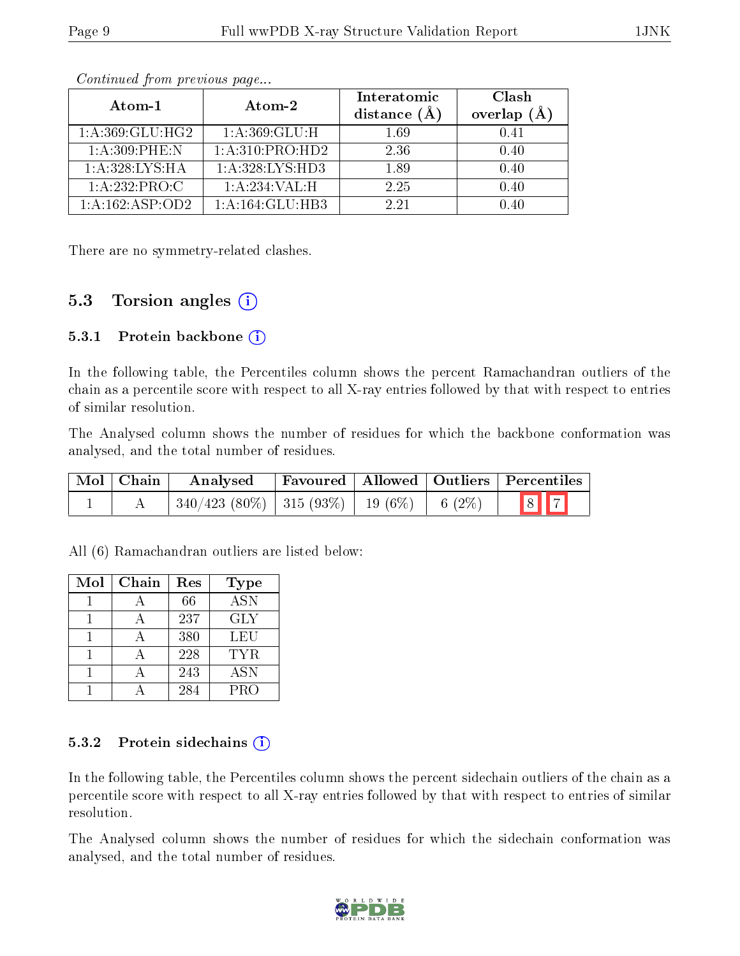| Atom-1             | Atom-2                       | Interatomic<br>distance $(\AA)$ | Clash<br>overlap<br>(A) |
|--------------------|------------------------------|---------------------------------|-------------------------|
| 1: A:369: GLU: HG2 | 1: A:369: GLU:H              | 1.69                            | 0.41                    |
| 1: A:309: PHE: N   | 1:A:310:PRO:HD2              | 2.36                            | 0.40                    |
| 1: A:328: LYS: HA  | 1:A:328:LYS:HD3              | 1.89                            | 0.40                    |
| 1:A:232:PRO:C      | 1:A:234:VAL:H                | 2.25                            | 0.40                    |
| 1:A:162:ASP:OD2    | $1:A:164:GLU:H\overline{B3}$ | 2.21                            |                         |

Continued from previous page...

There are no symmetry-related clashes.

## 5.3 Torsion angles  $(i)$

#### 5.3.1 Protein backbone  $(i)$

In the following table, the Percentiles column shows the percent Ramachandran outliers of the chain as a percentile score with respect to all X-ray entries followed by that with respect to entries of similar resolution.

The Analysed column shows the number of residues for which the backbone conformation was analysed, and the total number of residues.

| Mol Chain | Analysed                                                  |  | <b>Favoured Allowed Outliers Percentiles</b> |
|-----------|-----------------------------------------------------------|--|----------------------------------------------|
|           | $\mid$ 340/423 (80%)   315 (93%)   19 (6%)   6 (2%)   8 7 |  |                                              |

All (6) Ramachandran outliers are listed below:

| Mol | Chain | Res | <b>Type</b>      |
|-----|-------|-----|------------------|
|     |       | 66  | $AS\overline{N}$ |
|     |       | 237 | <b>GLY</b>       |
|     |       | 380 | LEU              |
|     |       | 228 | TYR.             |
|     |       | 243 | <b>ASN</b>       |
|     |       | 284 | <b>PRO</b>       |

#### 5.3.2 Protein sidechains  $(i)$

In the following table, the Percentiles column shows the percent sidechain outliers of the chain as a percentile score with respect to all X-ray entries followed by that with respect to entries of similar resolution.

The Analysed column shows the number of residues for which the sidechain conformation was analysed, and the total number of residues.

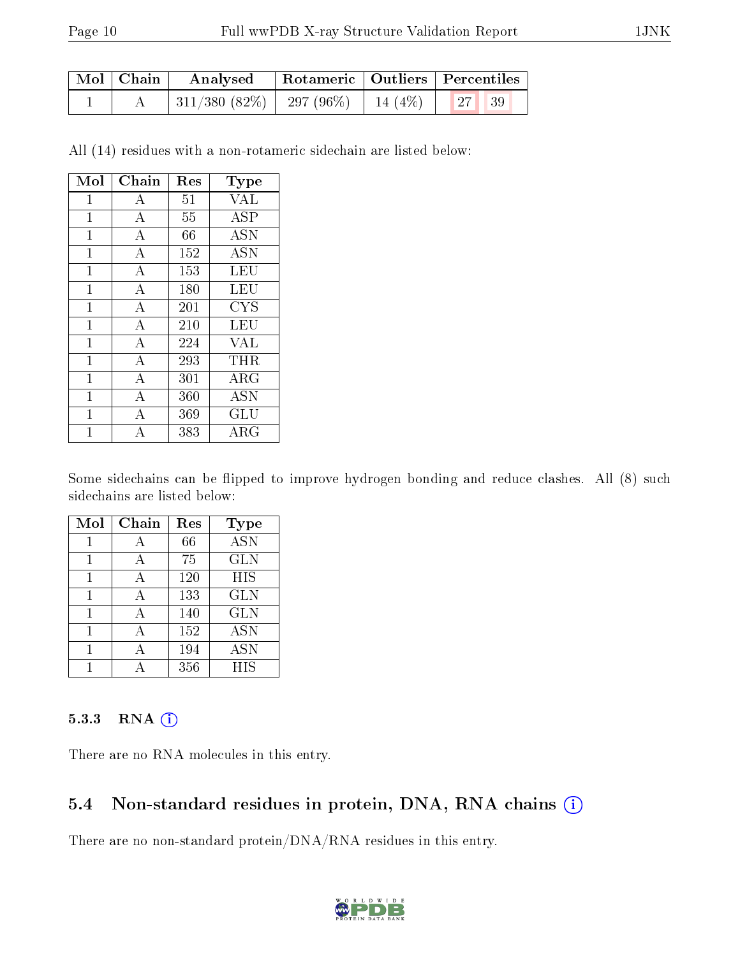| $\mid$ Mol $\mid$ Chain $\mid$ | Analysed                                      |  | Rotameric   Outliers   Percentiles |  |
|--------------------------------|-----------------------------------------------|--|------------------------------------|--|
|                                | 311/380 (82%)   297 (96%)   14 (4%)   27   39 |  |                                    |  |

All (14) residues with a non-rotameric sidechain are listed below:

| Mol          | Chain          | Res | Type        |
|--------------|----------------|-----|-------------|
| 1            | А              | 51  | <b>VAL</b>  |
| 1            | А              | 55  | <b>ASP</b>  |
| 1            | А              | 66  | <b>ASN</b>  |
| 1            | А              | 152 | <b>ASN</b>  |
| $\mathbf{1}$ | $\bf{A}$       | 153 | LEU         |
| 1            | A              | 180 | LEU         |
| $\mathbf{1}$ | A              | 201 | CYS         |
| 1            | $\overline{A}$ | 210 | <b>LEU</b>  |
| 1            | А              | 224 | VAL         |
| 1            | $\overline{A}$ | 293 | THR         |
| $\mathbf{1}$ | А              | 301 | ARG         |
| 1            | A              | 360 | <b>ASN</b>  |
| 1            | А              | 369 | GLU         |
| 1            | А              | 383 | ${\rm ARG}$ |

Some sidechains can be flipped to improve hydrogen bonding and reduce clashes. All (8) such sidechains are listed below:

| Mol | Chain | Res | Type              |
|-----|-------|-----|-------------------|
|     |       | 66  | $\overline{ASN}$  |
|     | A     | 75  | <b>GLN</b>        |
| 1   | A     | 120 | <b>HIS</b>        |
| 1   | А     | 133 | <b>GLN</b>        |
|     |       | 140 | <b>GLN</b>        |
|     |       | 152 | <b>ASN</b>        |
|     |       | 194 | <b>ASN</b>        |
|     |       | 356 | $\overline{H}$ IS |

#### 5.3.3 RNA (1)

There are no RNA molecules in this entry.

### 5.4 Non-standard residues in protein, DNA, RNA chains (i)

There are no non-standard protein/DNA/RNA residues in this entry.

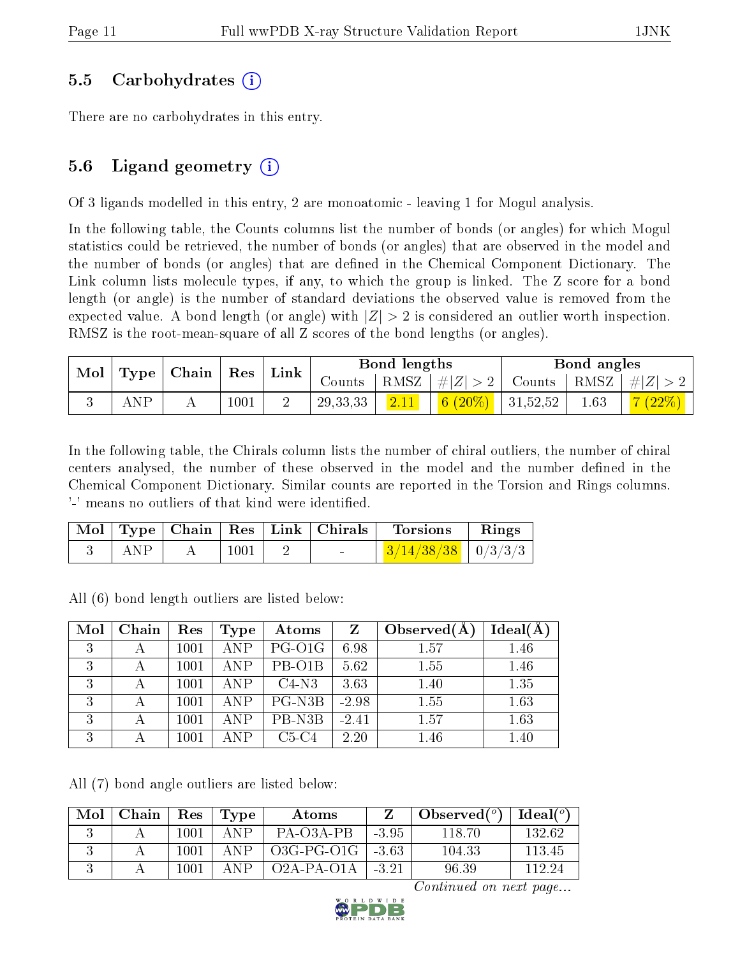### 5.5 Carbohydrates (i)

There are no carbohydrates in this entry.

## 5.6 Ligand geometry  $(i)$

Of 3 ligands modelled in this entry, 2 are monoatomic - leaving 1 for Mogul analysis.

In the following table, the Counts columns list the number of bonds (or angles) for which Mogul statistics could be retrieved, the number of bonds (or angles) that are observed in the model and the number of bonds (or angles) that are defined in the Chemical Component Dictionary. The Link column lists molecule types, if any, to which the group is linked. The Z score for a bond length (or angle) is the number of standard deviations the observed value is removed from the expected value. A bond length (or angle) with  $|Z| > 2$  is considered an outlier worth inspection. RMSZ is the root-mean-square of all Z scores of the bond lengths (or angles).

| Mol |     | $\mid$ Type $\mid$ Chain $\mid$ Res $\mid$ Link $\mid$ |      |            | Bond lengths |                                                           | Bond angles |        |
|-----|-----|--------------------------------------------------------|------|------------|--------------|-----------------------------------------------------------|-------------|--------|
|     |     |                                                        |      |            |              | Counts   RMSZ   $\# Z  > 2$   Counts   RMSZ   $\# Z  > 2$ |             |        |
|     | ANP |                                                        | 1001 | 29, 33, 33 | 2.11         | $\frac{6(20\%)}{6(20\%)}$ 31,52,52                        | 1.63        | 7(22%) |

In the following table, the Chirals column lists the number of chiral outliers, the number of chiral centers analysed, the number of these observed in the model and the number defined in the Chemical Component Dictionary. Similar counts are reported in the Torsion and Rings columns. '-' means no outliers of that kind were identified.

|     |      | Mol   Type   Chain   Res   Link   Chirals | Torsions                                 | $\parallel$ Rings |
|-----|------|-------------------------------------------|------------------------------------------|-------------------|
| ANP | 1001 | <b>Service Contract Contract</b>          | $\frac{3}{14/38/38}$ $\frac{1}{0/3/3/3}$ |                   |

All (6) bond length outliers are listed below:

| Mol | Chain | Res  | Type       | Atoms   | $Z_{\rm}$ | Observed $(A)$ | $Ideal(\AA)$ |
|-----|-------|------|------------|---------|-----------|----------------|--------------|
| 3   |       | 1001 | ANP        | PG-O1G  | 6.98      | 1.57           | 1.46         |
| 3   |       | 1001 | <b>ANP</b> | PB-O1B  | 5.62      | 1.55           | 1.46         |
| 3   |       | 1001 | <b>ANP</b> | $C4-N3$ | 3.63      | 1.40           | 1.35         |
| 3   |       | 1001 | ANP        | PG-N3B  | $-2.98$   | 1.55           | 1.63         |
| 3   |       | 1001 | <b>ANP</b> | PB-N3B  | $-2.41$   | 1.57           | 1.63         |
| 3   |       | 1001 | ANP        | $C5-C4$ | 2.20      | 1.46           | 1.40         |

All (7) bond angle outliers are listed below:

| Mol | Chain | Res      | Type        | Atoms        |         | Observed $(^\circ)$ | $Ideal(^o)$ |
|-----|-------|----------|-------------|--------------|---------|---------------------|-------------|
|     |       | 1001     | $\Delta$ NP | PA-03A-PB    | -395    | 118.70              | 132.62      |
|     |       | $1001\,$ | ΔNΡ         | $O3G-PG-O1G$ | -3.63   | 104.33              | 113.45      |
|     |       | 100 î    | ΔNΡ         | $O2A-PA-O1A$ | $-3.21$ | 96.39               | 112.24      |

Continued on next page...

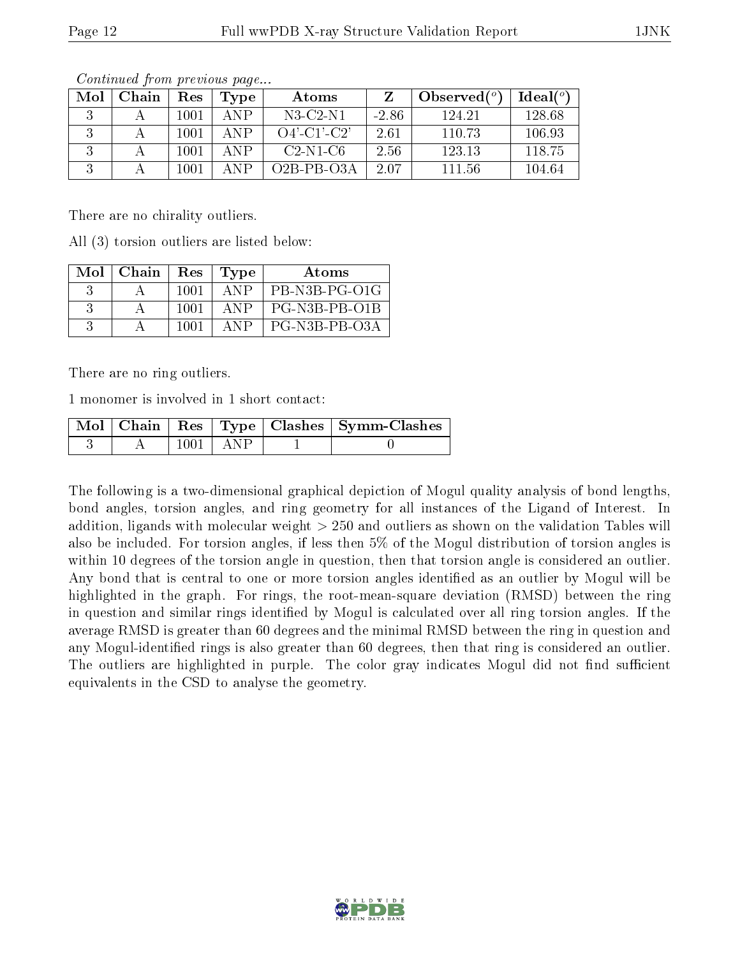| Mol | Chain | Res  | Type        | Atoms            |         | Observed $(°)$ | Ideal(°) |
|-----|-------|------|-------------|------------------|---------|----------------|----------|
|     |       | 1001 | ANP         | $N3$ -C2-N1      | $-2.86$ | 124.21         | 128.68   |
|     |       | 1001 | ANP         | $O4'$ -C1'-C2'   | 2.61    | 110.73         | 106.93   |
|     |       | 1001 | ANP         | $C2-N1-C6$       | 2.56    | 123.13         | 118.75   |
|     |       | 1001 | $\Delta$ NP | $O2B$ -PB- $O3A$ | 2.07    | 111.56         | 104.64   |

Continued from previous page...

There are no chirality outliers.

All (3) torsion outliers are listed below:

| $Mol$   Chain | Res  | $\vert$ Type | Atoms         |
|---------------|------|--------------|---------------|
|               | 1001 | ANP          | PB-N3B-PG-O1G |
|               | 1001 | ANP.         | PG-N3B-PB-O1B |
|               | 1001 | ANP          | PG-N3B-PB-O3A |

There are no ring outliers.

1 monomer is involved in 1 short contact:

|  |            | Mol   Chain   Res   Type   Clashes   Symm-Clashes |
|--|------------|---------------------------------------------------|
|  | 1001 L ANP |                                                   |

The following is a two-dimensional graphical depiction of Mogul quality analysis of bond lengths, bond angles, torsion angles, and ring geometry for all instances of the Ligand of Interest. In addition, ligands with molecular weight > 250 and outliers as shown on the validation Tables will also be included. For torsion angles, if less then 5% of the Mogul distribution of torsion angles is within 10 degrees of the torsion angle in question, then that torsion angle is considered an outlier. Any bond that is central to one or more torsion angles identified as an outlier by Mogul will be highlighted in the graph. For rings, the root-mean-square deviation (RMSD) between the ring in question and similar rings identified by Mogul is calculated over all ring torsion angles. If the average RMSD is greater than 60 degrees and the minimal RMSD between the ring in question and any Mogul-identied rings is also greater than 60 degrees, then that ring is considered an outlier. The outliers are highlighted in purple. The color gray indicates Mogul did not find sufficient equivalents in the CSD to analyse the geometry.

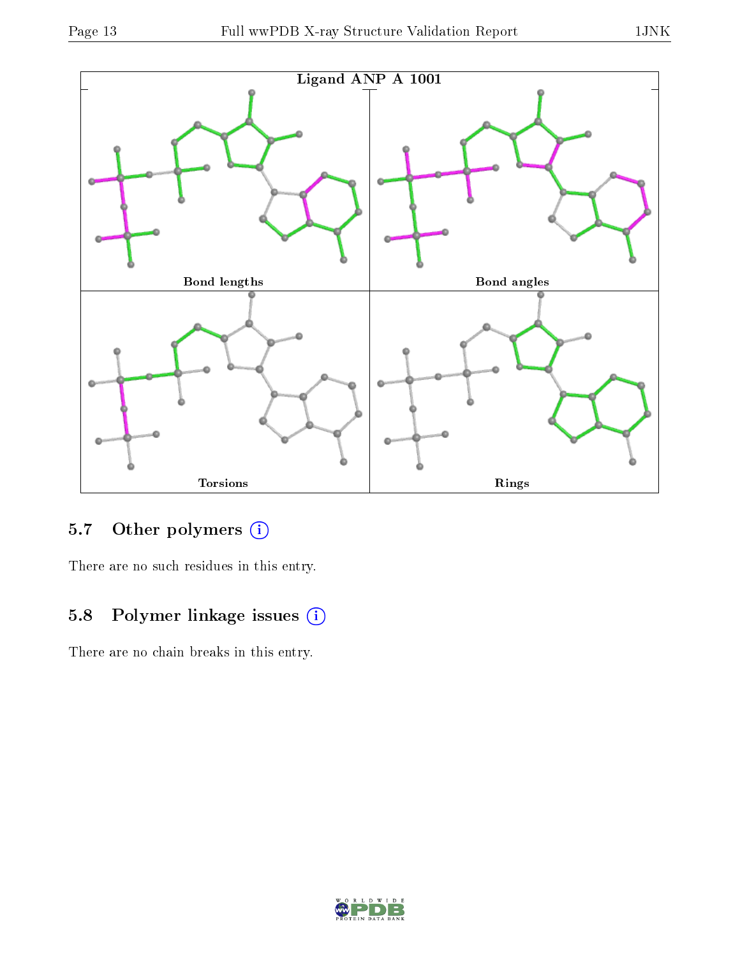

# 5.7 [O](https://www.wwpdb.org/validation/2017/XrayValidationReportHelp#nonstandard_residues_and_ligands)ther polymers (i)

There are no such residues in this entry.

## 5.8 Polymer linkage issues (i)

There are no chain breaks in this entry.